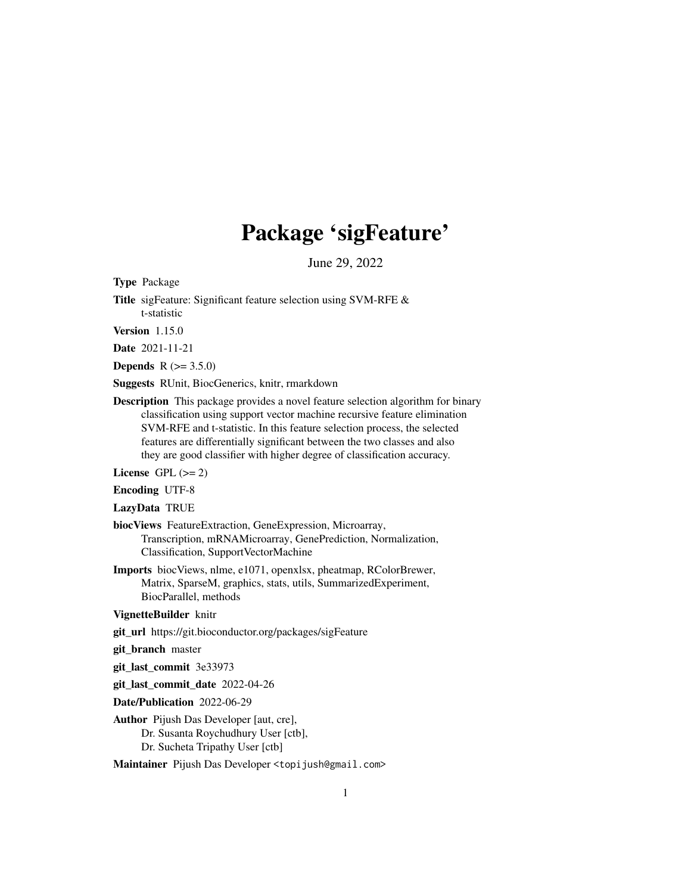## Package 'sigFeature'

June 29, 2022

Type Package

Title sigFeature: Significant feature selection using SVM-RFE & t-statistic

Version 1.15.0

Date 2021-11-21

**Depends** R  $(>= 3.5.0)$ 

Suggests RUnit, BiocGenerics, knitr, rmarkdown

Description This package provides a novel feature selection algorithm for binary classification using support vector machine recursive feature elimination SVM-RFE and t-statistic. In this feature selection process, the selected features are differentially significant between the two classes and also they are good classifier with higher degree of classification accuracy.

License GPL  $(>= 2)$ 

Encoding UTF-8

LazyData TRUE

- biocViews FeatureExtraction, GeneExpression, Microarray, Transcription, mRNAMicroarray, GenePrediction, Normalization, Classification, SupportVectorMachine
- Imports biocViews, nlme, e1071, openxlsx, pheatmap, RColorBrewer, Matrix, SparseM, graphics, stats, utils, SummarizedExperiment, BiocParallel, methods

VignetteBuilder knitr

git\_url https://git.bioconductor.org/packages/sigFeature

git\_branch master

git\_last\_commit 3e33973

git last commit date 2022-04-26

Date/Publication 2022-06-29

Author Pijush Das Developer [aut, cre], Dr. Susanta Roychudhury User [ctb], Dr. Sucheta Tripathy User [ctb]

Maintainer Pijush Das Developer <topijush@gmail.com>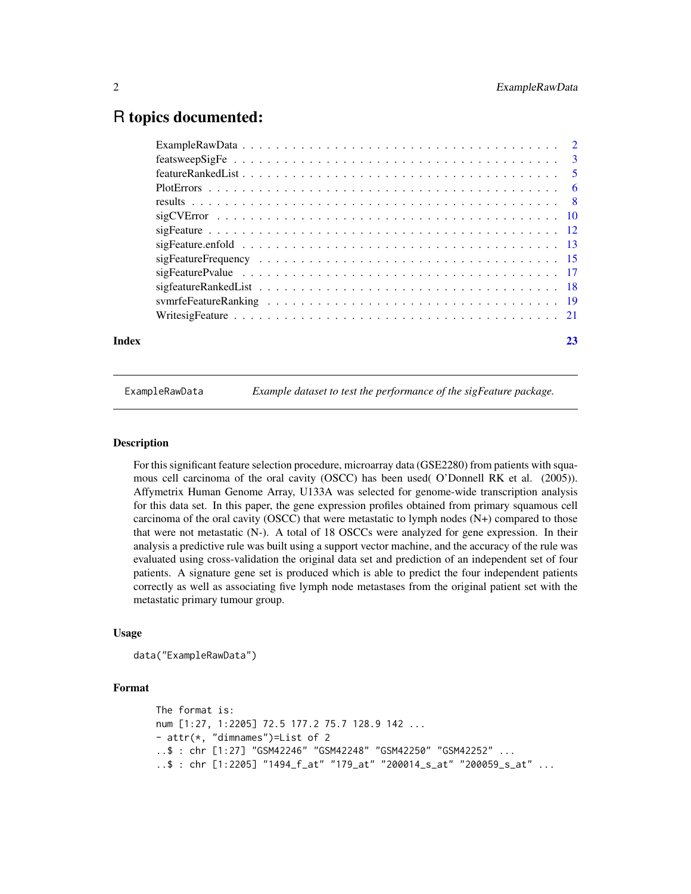### <span id="page-1-0"></span>R topics documented:

| Index | 23 |
|-------|----|

ExampleRawData *Example dataset to test the performance of the sigFeature package.*

#### **Description**

For this significant feature selection procedure, microarray data (GSE2280) from patients with squamous cell carcinoma of the oral cavity (OSCC) has been used( O'Donnell RK et al. (2005)). Affymetrix Human Genome Array, U133A was selected for genome-wide transcription analysis for this data set. In this paper, the gene expression profiles obtained from primary squamous cell carcinoma of the oral cavity (OSCC) that were metastatic to lymph nodes  $(N+)$  compared to those that were not metastatic (N-). A total of 18 OSCCs were analyzed for gene expression. In their analysis a predictive rule was built using a support vector machine, and the accuracy of the rule was evaluated using cross-validation the original data set and prediction of an independent set of four patients. A signature gene set is produced which is able to predict the four independent patients correctly as well as associating five lymph node metastases from the original patient set with the metastatic primary tumour group.

#### Usage

```
data("ExampleRawData")
```

```
The format is:
num [1:27, 1:2205] 72.5 177.2 75.7 128.9 142 ...
- attr(*, "dimnames")=List of 2
..$ : chr [1:27] "GSM42246" "GSM42248" "GSM42250" "GSM42252" ...
..$ : chr [1:2205] "1494_f_at" "179_at" "200014_s_at" "200059_s_at" ...
```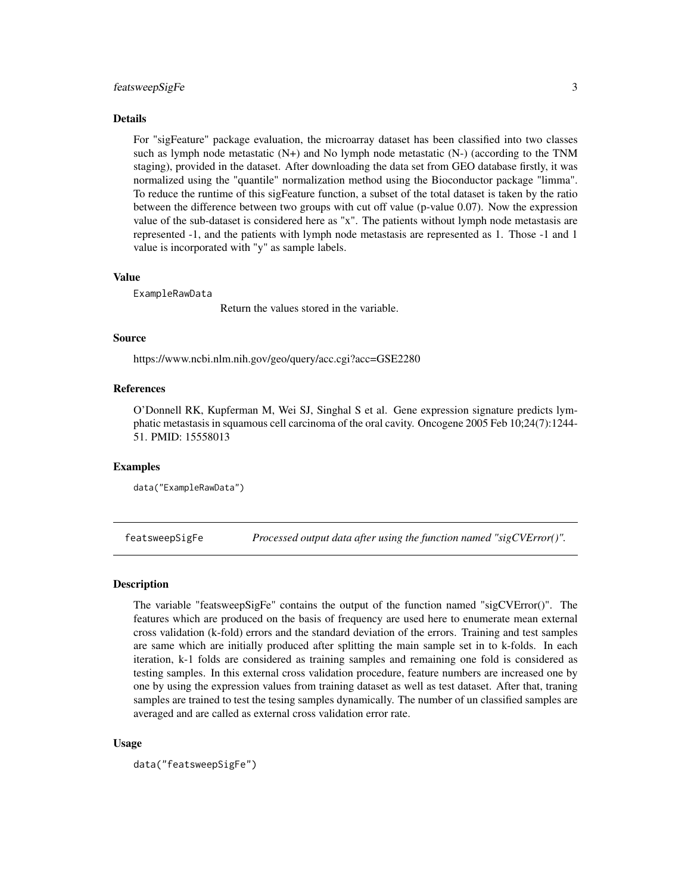#### <span id="page-2-0"></span>featsweepSigFe 3

#### Details

For "sigFeature" package evaluation, the microarray dataset has been classified into two classes such as lymph node metastatic  $(N+)$  and No lymph node metastatic  $(N-)$  (according to the TNM staging), provided in the dataset. After downloading the data set from GEO database firstly, it was normalized using the "quantile" normalization method using the Bioconductor package "limma". To reduce the runtime of this sigFeature function, a subset of the total dataset is taken by the ratio between the difference between two groups with cut off value (p-value 0.07). Now the expression value of the sub-dataset is considered here as "x". The patients without lymph node metastasis are represented -1, and the patients with lymph node metastasis are represented as 1. Those -1 and 1 value is incorporated with "y" as sample labels.

#### Value

ExampleRawData

Return the values stored in the variable.

#### Source

https://www.ncbi.nlm.nih.gov/geo/query/acc.cgi?acc=GSE2280

#### References

O'Donnell RK, Kupferman M, Wei SJ, Singhal S et al. Gene expression signature predicts lymphatic metastasis in squamous cell carcinoma of the oral cavity. Oncogene 2005 Feb 10;24(7):1244- 51. PMID: 15558013

#### Examples

data("ExampleRawData")

featsweepSigFe *Processed output data after using the function named "sigCVError()".*

#### Description

The variable "featsweepSigFe" contains the output of the function named "sigCVError()". The features which are produced on the basis of frequency are used here to enumerate mean external cross validation (k-fold) errors and the standard deviation of the errors. Training and test samples are same which are initially produced after splitting the main sample set in to k-folds. In each iteration, k-1 folds are considered as training samples and remaining one fold is considered as testing samples. In this external cross validation procedure, feature numbers are increased one by one by using the expression values from training dataset as well as test dataset. After that, traning samples are trained to test the tesing samples dynamically. The number of un classified samples are averaged and are called as external cross validation error rate.

#### Usage

```
data("featsweepSigFe")
```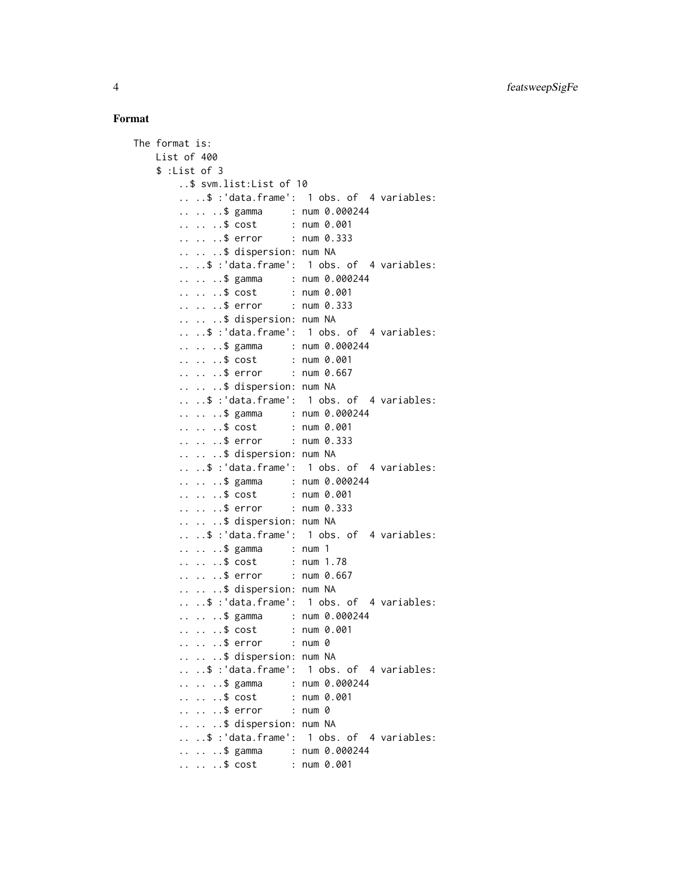```
The format is:
   List of 400
   $ :List of 3
       ..$ svm.list:List of 10
       .. ..$ :'data.frame': 1 obs. of 4 variables:
       .. .. ..$ gamma : num 0.000244
       .. .. ..$ cost : num 0.001
       .. .. ..$ error : num 0.333
       .. .. ..$ dispersion: num NA
       .. ..$ :'data.frame': 1 obs. of 4 variables:
       .. .. ..$ gamma : num 0.000244
       .. .. ..$ cost : num 0.001
       .. .. ..$ error : num 0.333
       .. .. ..$ dispersion: num NA
       .. ..$ :'data.frame': 1 obs. of 4 variables:
       .. .. ..$ gamma : num 0.000244
       .. .. ..$ cost : num 0.001
       .. .. ..$ error : num 0.667
       .. .. ..$ dispersion: num NA
       .. ..$ :'data.frame': 1 obs. of 4 variables:
       .. .. ..$ gamma : num 0.000244
       .. .. ..$ cost : num 0.001
       .. .. ..$ error : num 0.333
       .. .. ..$ dispersion: num NA
       .. ..$ :'data.frame': 1 obs. of 4 variables:
       .. .. ..$ gamma : num 0.000244
       .. .. ..$ cost : num 0.001<br>.. .. ..$ error : num 0.333
       \ldots \ldots$ error
       .. .. ..$ dispersion: num NA
       .. ..$ :'data.frame': 1 obs. of 4 variables:
       .. .. ..$ gamma : num 1
       .. .. ..$ cost : num 1.78
       .. .. ..$ error : num 0.667
       .. .. ..$ dispersion: num NA
       .. ..$ :'data.frame': 1 obs. of 4 variables:
       .. .. ..$ gamma : num 0.000244
       .. .. ..$ cost : num 0.001
       .. .. ..$ error : num 0
       .. .. ..$ dispersion: num NA
       .. ..$ :'data.frame': 1 obs. of 4 variables:
       .. .. ..$ gamma : num 0.000244
       .. .. ..$ cost : num 0.001
       .. .. ..$ error : num 0
       .. .. ..$ dispersion: num NA
       .. ..$ :'data.frame': 1 obs. of 4 variables:
       .. .. ..$ gamma : num 0.000244
       .. .. ..$ cost : num 0.001
```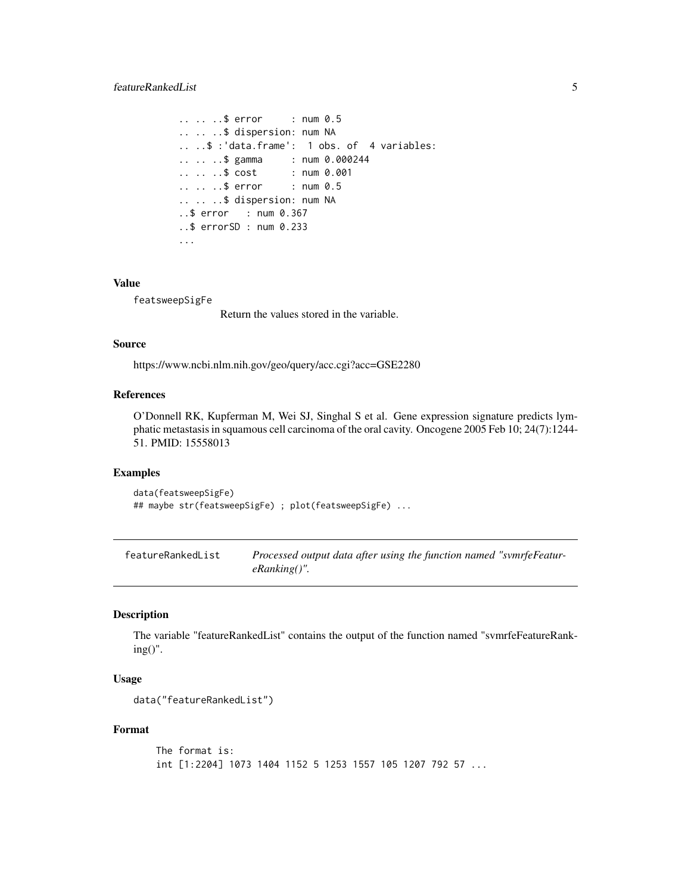```
.. .. ..$ error : num 0.5
.. .. ..$ dispersion: num NA
.. ..$ :'data.frame': 1 obs. of 4 variables:
.. .. ..$ gamma : num 0.000244
.. .. ..$ cost : num 0.001
.. .. ..$ error : num 0.5
.. .. ..$ dispersion: num NA
..$ error : num 0.367
..$ errorSD : num 0.233
...
```
#### Value

featsweepSigFe

Return the values stored in the variable.

#### Source

https://www.ncbi.nlm.nih.gov/geo/query/acc.cgi?acc=GSE2280

#### References

O'Donnell RK, Kupferman M, Wei SJ, Singhal S et al. Gene expression signature predicts lymphatic metastasis in squamous cell carcinoma of the oral cavity. Oncogene 2005 Feb 10; 24(7):1244- 51. PMID: 15558013

#### Examples

```
data(featsweepSigFe)
## maybe str(featsweepSigFe) ; plot(featsweepSigFe) ...
```
featureRankedList *Processed output data after using the function named "svmrfeFeatureRanking()".*

#### Description

The variable "featureRankedList" contains the output of the function named "svmrfeFeatureRanking()".

#### Usage

```
data("featureRankedList")
```

```
The format is:
int [1:2204] 1073 1404 1152 5 1253 1557 105 1207 792 57 ...
```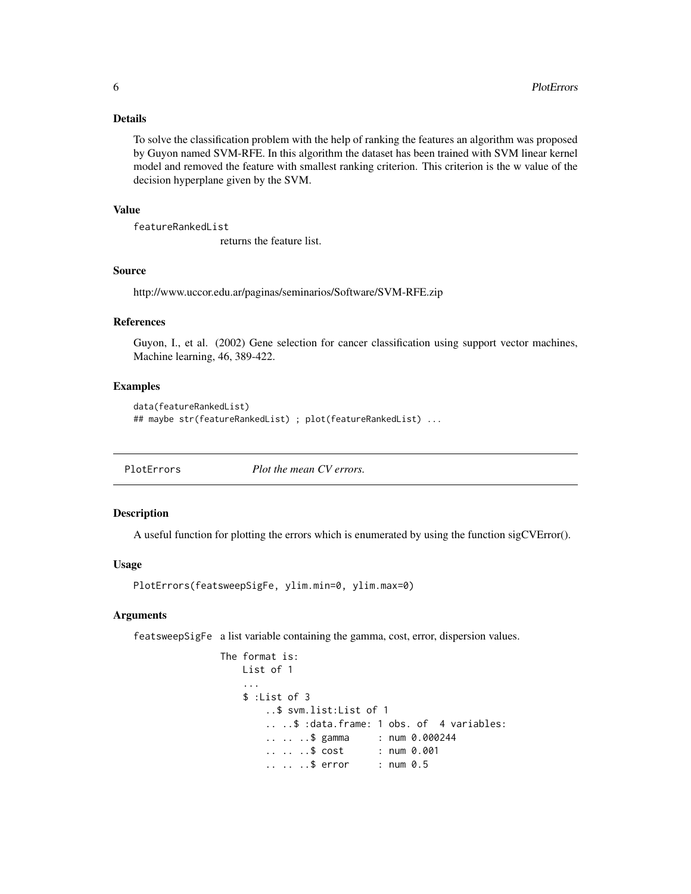#### <span id="page-5-0"></span>Details

To solve the classification problem with the help of ranking the features an algorithm was proposed by Guyon named SVM-RFE. In this algorithm the dataset has been trained with SVM linear kernel model and removed the feature with smallest ranking criterion. This criterion is the w value of the decision hyperplane given by the SVM.

#### Value

featureRankedList

returns the feature list.

#### Source

http://www.uccor.edu.ar/paginas/seminarios/Software/SVM-RFE.zip

#### References

Guyon, I., et al. (2002) Gene selection for cancer classification using support vector machines, Machine learning, 46, 389-422.

#### Examples

```
data(featureRankedList)
## maybe str(featureRankedList) ; plot(featureRankedList) ...
```
PlotErrors *Plot the mean CV errors.*

#### Description

A useful function for plotting the errors which is enumerated by using the function sigCVError().

#### Usage

```
PlotErrors(featsweepSigFe, ylim.min=0, ylim.max=0)
```
#### Arguments

featsweepSigFe a list variable containing the gamma, cost, error, dispersion values.

```
The format is:
   List of 1
    ...
   $ :List of 3
       ..$ svm.list:List of 1
       .. ..$ :data.frame: 1 obs. of 4 variables:
       .. .. ..$ gamma : num 0.000244
       .. .. ..$ cost : num 0.001
       .. .. ..$ error : num 0.5
```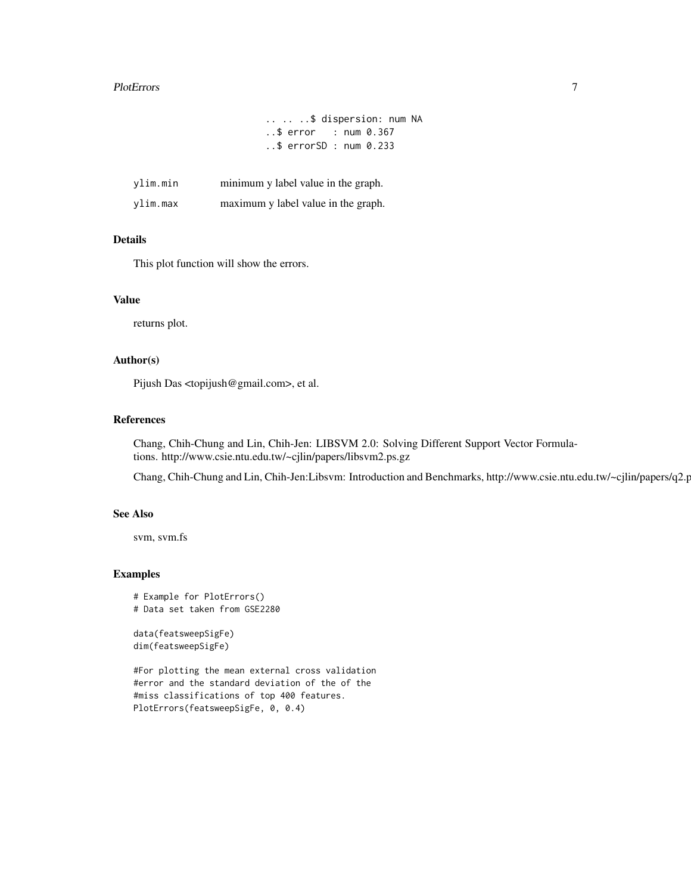#### PlotErrors 2008 and 2008 and 2008 and 2008 and 2008 and 2008 and 2008 and 2008 and 2008 and 2008 and 2008 and 2008 and 2008 and 2008 and 2008 and 2008 and 2008 and 2008 and 2008 and 2008 and 2008 and 2008 and 2008 and 2008

```
.. .. ..$ dispersion: num NA
..$ error : num 0.367
..$ errorSD : num 0.233
```

| ylim.min | minimum y label value in the graph. |
|----------|-------------------------------------|
| ylim.max | maximum y label value in the graph. |

#### Details

This plot function will show the errors.

#### Value

returns plot.

#### Author(s)

Pijush Das <topijush@gmail.com>, et al.

#### References

Chang, Chih-Chung and Lin, Chih-Jen: LIBSVM 2.0: Solving Different Support Vector Formulations. http://www.csie.ntu.edu.tw/~cjlin/papers/libsvm2.ps.gz

Chang, Chih-Chung and Lin, Chih-Jen:Libsvm: Introduction and Benchmarks, http://www.csie.ntu.edu.tw/~cjlin/papers/q2.p

#### See Also

svm, svm.fs

#### Examples

```
# Example for PlotErrors()
# Data set taken from GSE2280
```

```
data(featsweepSigFe)
dim(featsweepSigFe)
```
#For plotting the mean external cross validation #error and the standard deviation of the of the #miss classifications of top 400 features. PlotErrors(featsweepSigFe, 0, 0.4)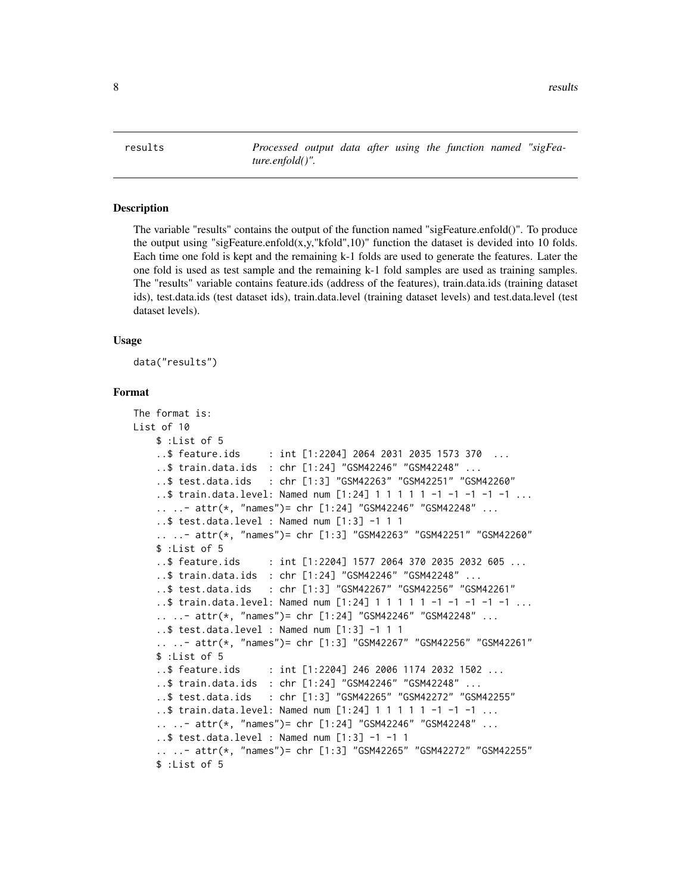<span id="page-7-0"></span>results *Processed output data after using the function named "sigFeature.enfold()".*

#### Description

The variable "results" contains the output of the function named "sigFeature.enfold()". To produce the output using "sigFeature.enfold $(x,y,''kfold",10)$ " function the dataset is devided into 10 folds. Each time one fold is kept and the remaining k-1 folds are used to generate the features. Later the one fold is used as test sample and the remaining k-1 fold samples are used as training samples. The "results" variable contains feature.ids (address of the features), train.data.ids (training dataset ids), test.data.ids (test dataset ids), train.data.level (training dataset levels) and test.data.level (test dataset levels).

#### Usage

data("results")

```
The format is:
List of 10
   $ :List of 5
    ..$ feature.ids : int [1:2204] 2064 2031 2035 1573 370 ...
    ..$ train.data.ids : chr [1:24] "GSM42246" "GSM42248" ...
    ..$ test.data.ids : chr [1:3] "GSM42263" "GSM42251" "GSM42260"
    ..$ train.data.level: Named num [1:24] 1 1 1 1 1 -1 -1 -1 -1 -1 ...
    .. ..- attr(*, "names")= chr [1:24] "GSM42246" "GSM42248" ...
    ..$ test.data.level : Named num [1:3] -1 1 1
    .. ..- attr(*, "names")= chr [1:3] "GSM42263" "GSM42251" "GSM42260"
    $ :List of 5
    ..$ feature.ids : int [1:2204] 1577 2064 370 2035 2032 605 ...
    ..$ train.data.ids : chr [1:24] "GSM42246" "GSM42248" ...
    ..$ test.data.ids : chr [1:3] "GSM42267" "GSM42256" "GSM42261"
    ..$ train.data.level: Named num [1:24] 1 1 1 1 1 -1 -1 -1 -1 -1 ...
    .. ..- attr(*, "names")= chr [1:24] "GSM42246" "GSM42248" ...
    ..$ test.data.level : Named num [1:3] -1 1 1
    .. ..- attr(*, "names")= chr [1:3] "GSM42267" "GSM42256" "GSM42261"
    $ :List of 5
    ..$ feature.ids : int [1:2204] 246 2006 1174 2032 1502 ...
    ..$ train.data.ids : chr [1:24] "GSM42246" "GSM42248" ...
    ..$ test.data.ids : chr [1:3] "GSM42265" "GSM42272" "GSM42255"
    ..$ train.data.level: Named num [1:24] 1 1 1 1 1 -1 -1 -1 ...
    .. ..- attr(*, "names")= chr [1:24] "GSM42246" "GSM42248" ...
    ..$ test.data.level : Named num [1:3] -1 -1 1
    .. ..- attr(*, "names")= chr [1:3] "GSM42265" "GSM42272" "GSM42255"
    $ :List of 5
```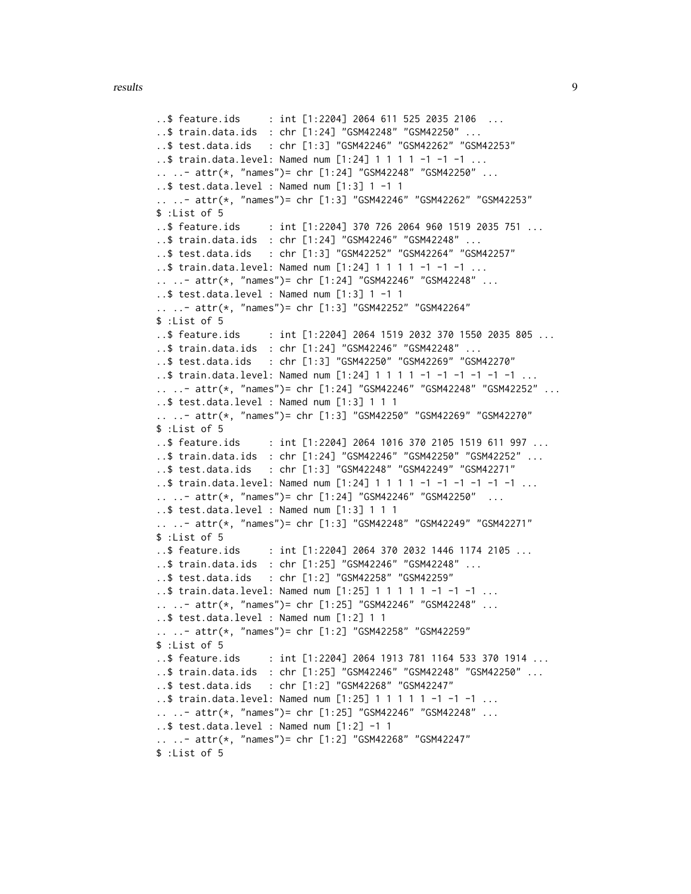#### results and the contract of the contract of the contract of the contract of the contract of the contract of the contract of the contract of the contract of the contract of the contract of the contract of the contract of th

```
..$ feature.ids : int [1:2204] 2064 611 525 2035 2106 ...
..$ train.data.ids : chr [1:24] "GSM42248" "GSM42250" ...
..$ test.data.ids : chr [1:3] "GSM42246" "GSM42262" "GSM42253"
..$ train.data.level: Named num [1:24] 1 1 1 1 -1 -1 -1 ...
.. ..- attr(*, "names")= chr [1:24] "GSM42248" "GSM42250" ...
..$ test.data.level : Named num [1:3] 1 -1 1
.. ..- attr(*, "names")= chr [1:3] "GSM42246" "GSM42262" "GSM42253"
$ :List of 5
..$ feature.ids : int [1:2204] 370 726 2064 960 1519 2035 751 ...
..$ train.data.ids : chr [1:24] "GSM42246" "GSM42248" ...
..$ test.data.ids : chr [1:3] "GSM42252" "GSM42264" "GSM42257"
..$ train.data.level: Named num [1:24] 1 1 1 1 -1 -1 -1 ...
.. ..- attr(*, "names")= chr [1:24] "GSM42246" "GSM42248" ...
..$ test.data.level : Named num [1:3] 1 -1 1
.. ..- attr(*, "names")= chr [1:3] "GSM42252" "GSM42264"
$ :List of 5
..$ feature.ids : int [1:2204] 2064 1519 2032 370 1550 2035 805 ...
..$ train.data.ids : chr [1:24] "GSM42246" "GSM42248" ...
..$ test.data.ids : chr [1:3] "GSM42250" "GSM42269" "GSM42270"
..$ train.data.level: Named num [1:24] 1 1 1 1 -1 -1 -1 -1 -1 -1 ...
.. ..- attr(*, "names")= chr [1:24] "GSM42246" "GSM42248" "GSM42252" ...
..$ test.data.level : Named num [1:3] 1 1 1
.. ..- attr(*, "names")= chr [1:3] "GSM42250" "GSM42269" "GSM42270"
$ :List of 5
..$ feature.ids : int [1:2204] 2064 1016 370 2105 1519 611 997 ...
..$ train.data.ids : chr [1:24] "GSM42246" "GSM42250" "GSM42252" ...
..$ test.data.ids : chr [1:3] "GSM42248" "GSM42249" "GSM42271"
..$ train.data.level: Named num [1:24] 1 1 1 1 -1 -1 -1 -1 -1 -1 ...
.. ..- attr(*, "names")= chr [1:24] "GSM42246" "GSM42250" ...
..$ test.data.level : Named num [1:3] 1 1 1
.. ..- attr(*, "names")= chr [1:3] "GSM42248" "GSM42249" "GSM42271"
$ :List of 5
..$ feature.ids : int [1:2204] 2064 370 2032 1446 1174 2105 ...
..$ train.data.ids : chr [1:25] "GSM42246" "GSM42248" ...
..$ test.data.ids : chr [1:2] "GSM42258" "GSM42259"
..$ train.data.level: Named num [1:25] 1 1 1 1 1 -1 -1 -1 ...
.. ..- attr(*, "names")= chr [1:25] "GSM42246" "GSM42248" ...
..$ test.data.level : Named num [1:2] 1 1
.. ..- attr(*, "names")= chr [1:2] "GSM42258" "GSM42259"
$ :List of 5
..$ feature.ids : int [1:2204] 2064 1913 781 1164 533 370 1914 ...
..$ train.data.ids : chr [1:25] "GSM42246" "GSM42248" "GSM42250" ...
..$ test.data.ids : chr [1:2] "GSM42268" "GSM42247"
..$ train.data.level: Named num [1:25] 1 1 1 1 1 -1 -1 -1 ...
.. ..- attr(*, "names")= chr [1:25] "GSM42246" "GSM42248" ...
\ldots$ test.data.level : Named num [1:2] -1 1
.. ..- attr(*, "names")= chr [1:2] "GSM42268" "GSM42247"
$ :List of 5
```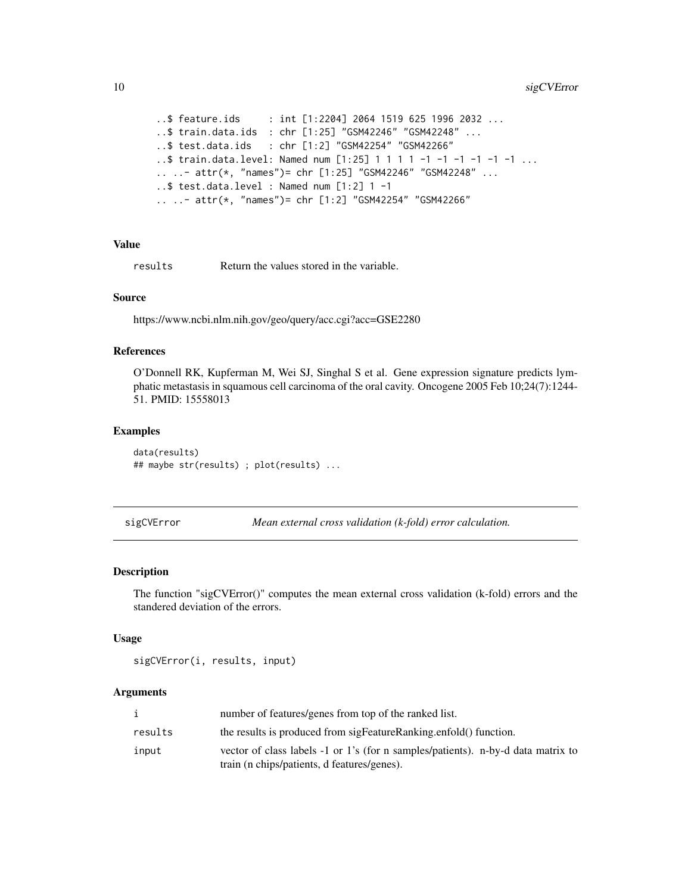```
..$ feature.ids : int [1:2204] 2064 1519 625 1996 2032 ...
..$ train.data.ids : chr [1:25] "GSM42246" "GSM42248" ...
..$ test.data.ids : chr [1:2] "GSM42254" "GSM42266"
..$ train.data.level: Named num [1:25] 1 1 1 1 -1 -1 -1 -1 -1 -1 ...
.. ..- attr(*, "names")= chr [1:25] "GSM42246" "GSM42248" ...
..$ test.data.level : Named num [1:2] 1 -1
.. ..- attr(*, "names")= chr [1:2] "GSM42254" "GSM42266"
```
#### Value

results Return the values stored in the variable.

#### Source

https://www.ncbi.nlm.nih.gov/geo/query/acc.cgi?acc=GSE2280

#### References

O'Donnell RK, Kupferman M, Wei SJ, Singhal S et al. Gene expression signature predicts lymphatic metastasis in squamous cell carcinoma of the oral cavity. Oncogene 2005 Feb 10;24(7):1244- 51. PMID: 15558013

#### Examples

```
data(results)
## maybe str(results) ; plot(results) ...
```
sigCVError *Mean external cross validation (k-fold) error calculation.*

#### Description

The function "sigCVError()" computes the mean external cross validation (k-fold) errors and the standered deviation of the errors.

#### Usage

```
sigCVError(i, results, input)
```
#### Arguments

|         | number of features/genes from top of the ranked list.                            |
|---------|----------------------------------------------------------------------------------|
| results | the results is produced from sigFeatureRanking.enfold() function.                |
| input   | vector of class labels -1 or 1's (for n samples/patients). n-by-d data matrix to |
|         | train (n chips/patients, d features/genes).                                      |

<span id="page-9-0"></span>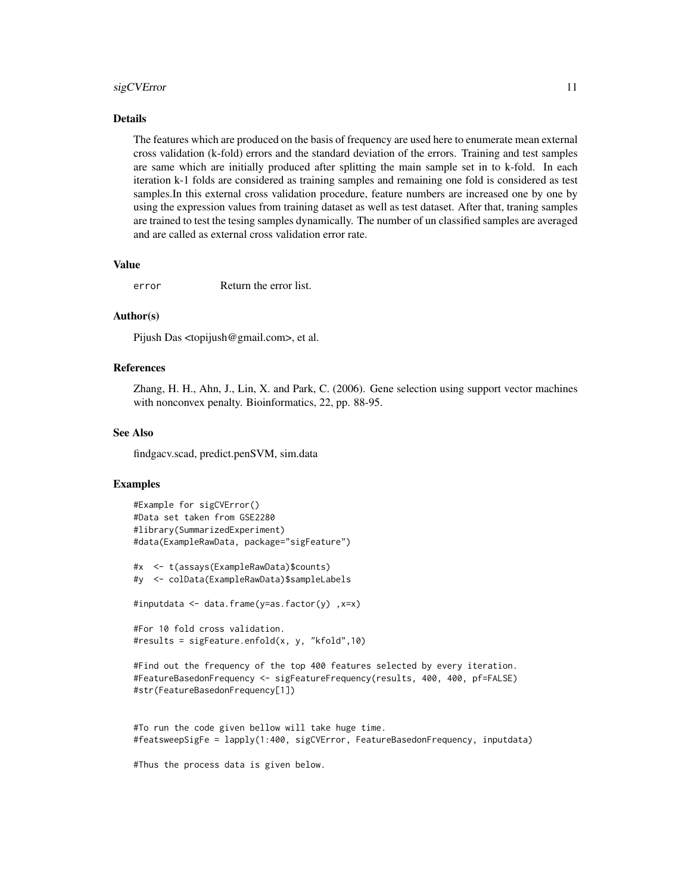#### sigCVError 11

#### Details

The features which are produced on the basis of frequency are used here to enumerate mean external cross validation (k-fold) errors and the standard deviation of the errors. Training and test samples are same which are initially produced after splitting the main sample set in to k-fold. In each iteration k-1 folds are considered as training samples and remaining one fold is considered as test samples.In this external cross validation procedure, feature numbers are increased one by one by using the expression values from training dataset as well as test dataset. After that, traning samples are trained to test the tesing samples dynamically. The number of un classified samples are averaged and are called as external cross validation error rate.

#### Value

error Return the error list.

#### Author(s)

Pijush Das <topijush@gmail.com>, et al.

#### References

Zhang, H. H., Ahn, J., Lin, X. and Park, C. (2006). Gene selection using support vector machines with nonconvex penalty. Bioinformatics, 22, pp. 88-95.

#### See Also

findgacv.scad, predict.penSVM, sim.data

#### Examples

```
#Example for sigCVError()
#Data set taken from GSE2280
#library(SummarizedExperiment)
#data(ExampleRawData, package="sigFeature")
```

```
#x <- t(assays(ExampleRawData)$counts)
#y <- colData(ExampleRawData)$sampleLabels
```

```
#inputdata <- data.frame(y=as.factor(y) ,x=x)
```

```
#For 10 fold cross validation.
#results = sigFeature.enfold(x, y, "kfold",10)
```

```
#Find out the frequency of the top 400 features selected by every iteration.
#FeatureBasedonFrequency <- sigFeatureFrequency(results, 400, 400, pf=FALSE)
#str(FeatureBasedonFrequency[1])
```

```
#To run the code given bellow will take huge time.
#featsweepSigFe = lapply(1:400, sigCVError, FeatureBasedonFrequency, inputdata)
```
#Thus the process data is given below.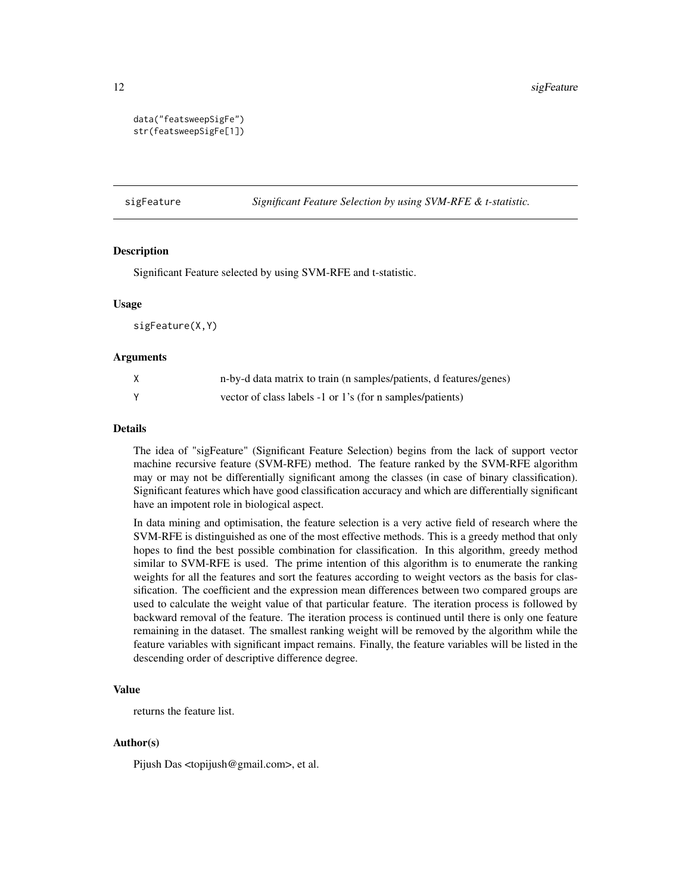```
data("featsweepSigFe")
str(featsweepSigFe[1])
```
sigFeature *Significant Feature Selection by using SVM-RFE & t-statistic.*

#### Description

Significant Feature selected by using SVM-RFE and t-statistic.

#### Usage

sigFeature(X,Y)

#### Arguments

| n-by-d data matrix to train (n samples/patients, d features/genes) |
|--------------------------------------------------------------------|
| vector of class labels -1 or 1's (for n samples/patients)          |

#### Details

The idea of "sigFeature" (Significant Feature Selection) begins from the lack of support vector machine recursive feature (SVM-RFE) method. The feature ranked by the SVM-RFE algorithm may or may not be differentially significant among the classes (in case of binary classification). Significant features which have good classification accuracy and which are differentially significant have an impotent role in biological aspect.

In data mining and optimisation, the feature selection is a very active field of research where the SVM-RFE is distinguished as one of the most effective methods. This is a greedy method that only hopes to find the best possible combination for classification. In this algorithm, greedy method similar to SVM-RFE is used. The prime intention of this algorithm is to enumerate the ranking weights for all the features and sort the features according to weight vectors as the basis for classification. The coefficient and the expression mean differences between two compared groups are used to calculate the weight value of that particular feature. The iteration process is followed by backward removal of the feature. The iteration process is continued until there is only one feature remaining in the dataset. The smallest ranking weight will be removed by the algorithm while the feature variables with significant impact remains. Finally, the feature variables will be listed in the descending order of descriptive difference degree.

#### Value

returns the feature list.

#### Author(s)

Pijush Das <topijush@gmail.com>, et al.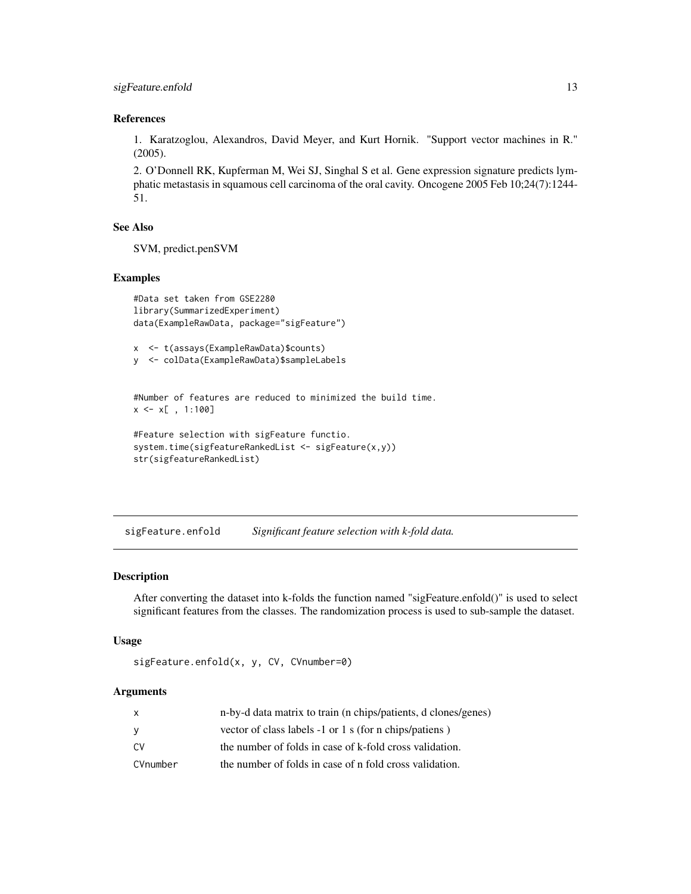#### <span id="page-12-0"></span>References

1. Karatzoglou, Alexandros, David Meyer, and Kurt Hornik. "Support vector machines in R." (2005).

2. O'Donnell RK, Kupferman M, Wei SJ, Singhal S et al. Gene expression signature predicts lymphatic metastasis in squamous cell carcinoma of the oral cavity. Oncogene 2005 Feb 10;24(7):1244- 51.

#### See Also

SVM, predict.penSVM

#### Examples

```
#Data set taken from GSE2280
library(SummarizedExperiment)
data(ExampleRawData, package="sigFeature")
```
x <- t(assays(ExampleRawData)\$counts) y <- colData(ExampleRawData)\$sampleLabels

#Number of features are reduced to minimized the build time.  $x \leq x$ [, 1:100]

```
#Feature selection with sigFeature functio.
system.time(sigfeatureRankedList <- sigFeature(x,y))
str(sigfeatureRankedList)
```
sigFeature.enfold *Significant feature selection with k-fold data.*

#### Description

After converting the dataset into k-folds the function named "sigFeature.enfold()" is used to select significant features from the classes. The randomization process is used to sub-sample the dataset.

#### Usage

```
sigFeature.enfold(x, y, CV, CVnumber=0)
```
#### Arguments

| X        | n-by-d data matrix to train (n chips/patients, d clones/genes) |
|----------|----------------------------------------------------------------|
| y        | vector of class labels -1 or 1 s (for n chips/patiens)         |
| CV.      | the number of folds in case of k-fold cross validation.        |
| CVnumber | the number of folds in case of n fold cross validation.        |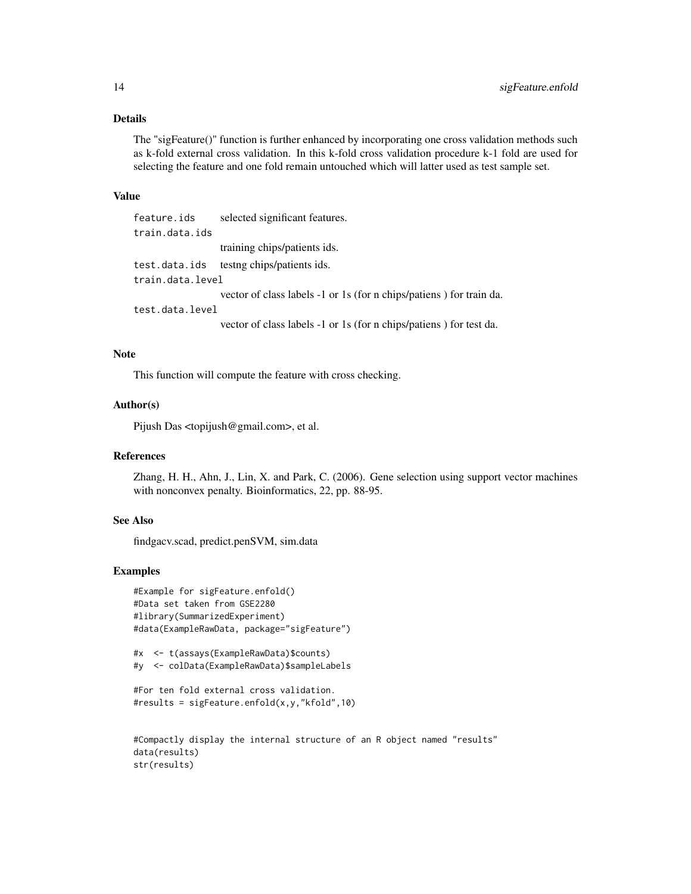#### Details

The "sigFeature()" function is further enhanced by incorporating one cross validation methods such as k-fold external cross validation. In this k-fold cross validation procedure k-1 fold are used for selecting the feature and one fold remain untouched which will latter used as test sample set.

#### Value

feature.ids selected significant features. train.data.ids training chips/patients ids. test.data.ids testng chips/patients ids. train.data.level vector of class labels -1 or 1s (for n chips/patiens ) for train da. test.data.level vector of class labels -1 or 1s (for n chips/patiens ) for test da.

#### Note

This function will compute the feature with cross checking.

#### Author(s)

Pijush Das <topijush@gmail.com>, et al.

#### References

Zhang, H. H., Ahn, J., Lin, X. and Park, C. (2006). Gene selection using support vector machines with nonconvex penalty. Bioinformatics, 22, pp. 88-95.

#### See Also

findgacv.scad, predict.penSVM, sim.data

#### Examples

```
#Example for sigFeature.enfold()
#Data set taken from GSE2280
#library(SummarizedExperiment)
#data(ExampleRawData, package="sigFeature")
```

```
#x <- t(assays(ExampleRawData)$counts)
#y <- colData(ExampleRawData)$sampleLabels
```

```
#For ten fold external cross validation.
#results = sigFeature.enfold(x,y,"kfold",10)
```

```
#Compactly display the internal structure of an R object named "results"
data(results)
str(results)
```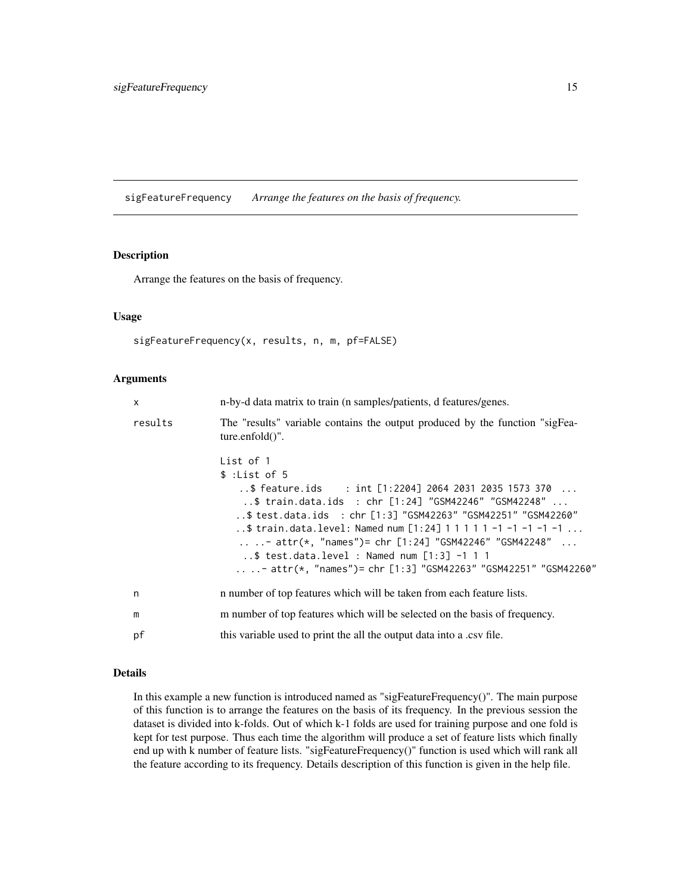<span id="page-14-0"></span>sigFeatureFrequency *Arrange the features on the basis of frequency.*

#### Description

Arrange the features on the basis of frequency.

#### Usage

```
sigFeatureFrequency(x, results, n, m, pf=FALSE)
```
#### Arguments

| $\mathsf{x}$ | n-by-d data matrix to train (n samples/patients, d features/genes.                                                                                                                                                                                                                                                                                                                                                                                           |
|--------------|--------------------------------------------------------------------------------------------------------------------------------------------------------------------------------------------------------------------------------------------------------------------------------------------------------------------------------------------------------------------------------------------------------------------------------------------------------------|
| results      | The "results" variable contains the output produced by the function "sigFea-<br>$ture.enfold()$ ".                                                                                                                                                                                                                                                                                                                                                           |
|              | List of 1<br>\$:List of 5<br>\$ feature.ids : int [1:2204] 2064 2031 2035 1573 370<br>\$ train.data.ids : chr [1:24] "GSM42246" "GSM42248"<br>\$ test.data.ids : chr [1:3] "GSM42263" "GSM42251" "GSM42260"<br>\$ train.data.level: Named num [1:24] 1 1 1 1 1 -1 -1 -1 -1 -1<br>- attr(*, "names")= chr [1:24] "GSM42246" "GSM42248"<br>$. .$ \$ test.data.level : Named num [1:3] -1 1 1<br>- attr(*, "names")= chr [1:3] "GSM42263" "GSM42251" "GSM42260" |
| n            | is n number of top features which will be taken from each feature lists.                                                                                                                                                                                                                                                                                                                                                                                     |
| m            | m number of top features which will be selected on the basis of frequency.                                                                                                                                                                                                                                                                                                                                                                                   |
| pf           | this variable used to print the all the output data into a .csv file.                                                                                                                                                                                                                                                                                                                                                                                        |
|              |                                                                                                                                                                                                                                                                                                                                                                                                                                                              |

#### Details

In this example a new function is introduced named as "sigFeatureFrequency()". The main purpose of this function is to arrange the features on the basis of its frequency. In the previous session the dataset is divided into k-folds. Out of which k-1 folds are used for training purpose and one fold is kept for test purpose. Thus each time the algorithm will produce a set of feature lists which finally end up with k number of feature lists. "sigFeatureFrequency()" function is used which will rank all the feature according to its frequency. Details description of this function is given in the help file.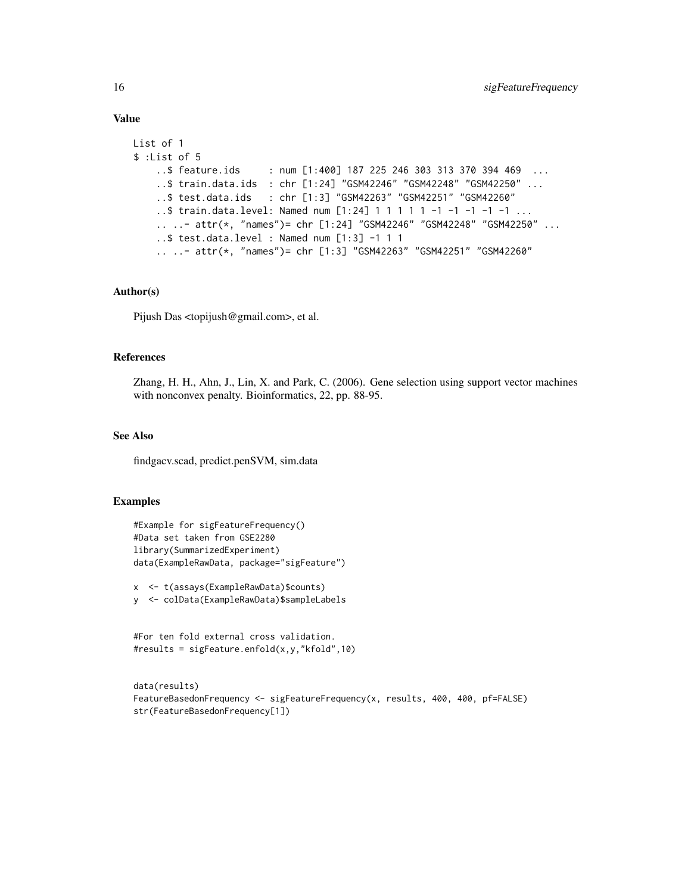#### Value

```
List of 1
$ :List of 5
    ..$ feature.ids : num [1:400] 187 225 246 303 313 370 394 469 ...
    ..$ train.data.ids : chr [1:24] "GSM42246" "GSM42248" "GSM42250" ...
    ..$ test.data.ids : chr [1:3] "GSM42263" "GSM42251" "GSM42260"
    ..$ train.data.level: Named num [1:24] 1 1 1 1 1 -1 -1 -1 -1 -1 ...
    .. ..- attr(*, "names")= chr [1:24] "GSM42246" "GSM42248" "GSM42250" ...
    ..$ test.data.level : Named num [1:3] -1 1 1
    .. ..- attr(*, "names")= chr [1:3] "GSM42263" "GSM42251" "GSM42260"
```
#### Author(s)

Pijush Das <topijush@gmail.com>, et al.

#### References

Zhang, H. H., Ahn, J., Lin, X. and Park, C. (2006). Gene selection using support vector machines with nonconvex penalty. Bioinformatics, 22, pp. 88-95.

#### See Also

findgacv.scad, predict.penSVM, sim.data

#### Examples

```
#Example for sigFeatureFrequency()
#Data set taken from GSE2280
library(SummarizedExperiment)
data(ExampleRawData, package="sigFeature")
```
x <- t(assays(ExampleRawData)\$counts) y <- colData(ExampleRawData)\$sampleLabels

#For ten fold external cross validation. #results = sigFeature.enfold(x,y,"kfold",10)

```
data(results)
FeatureBasedonFrequency <- sigFeatureFrequency(x, results, 400, 400, pf=FALSE)
str(FeatureBasedonFrequency[1])
```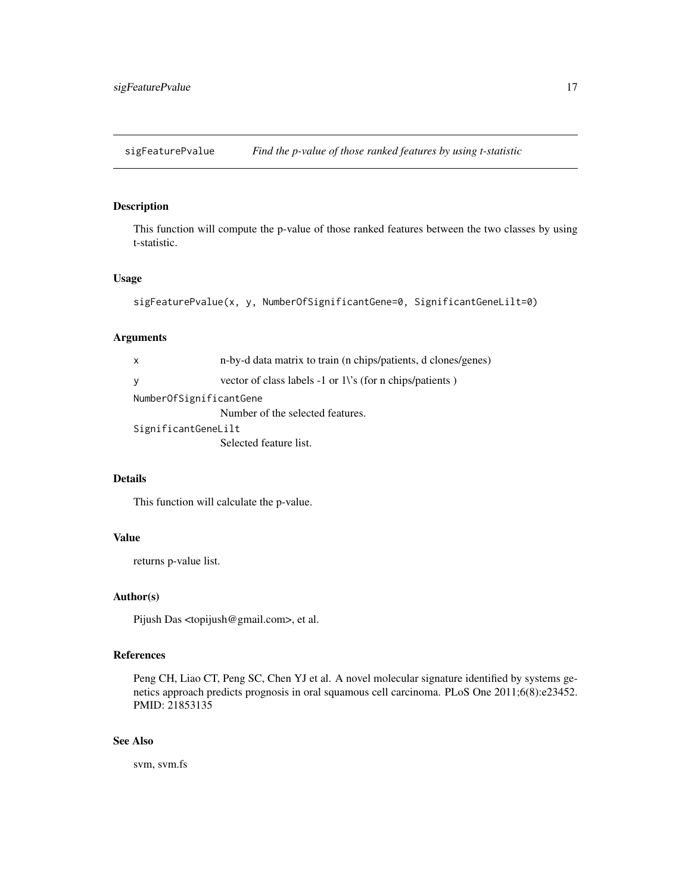<span id="page-16-0"></span>sigFeaturePvalue *Find the p-value of those ranked features by using t-statistic*

#### Description

This function will compute the p-value of those ranked features between the two classes by using t-statistic.

#### Usage

```
sigFeaturePvalue(x, y, NumberOfSignificantGene=0, SignificantGeneLilt=0)
```
#### Arguments

| X                       | n-by-d data matrix to train (n chips/patients, d clones/genes) |
|-------------------------|----------------------------------------------------------------|
| y                       | vector of class labels -1 or 1\'s (for n chips/patients)       |
| NumberOfSignificantGene |                                                                |
|                         | Number of the selected features.                               |
| SignificantGeneLilt     |                                                                |
|                         | Selected feature list.                                         |
|                         |                                                                |

#### Details

This function will calculate the p-value.

#### Value

returns p-value list.

#### Author(s)

Pijush Das <topijush@gmail.com>, et al.

#### References

Peng CH, Liao CT, Peng SC, Chen YJ et al. A novel molecular signature identified by systems genetics approach predicts prognosis in oral squamous cell carcinoma. PLoS One 2011;6(8):e23452. PMID: 21853135

#### See Also

svm, svm.fs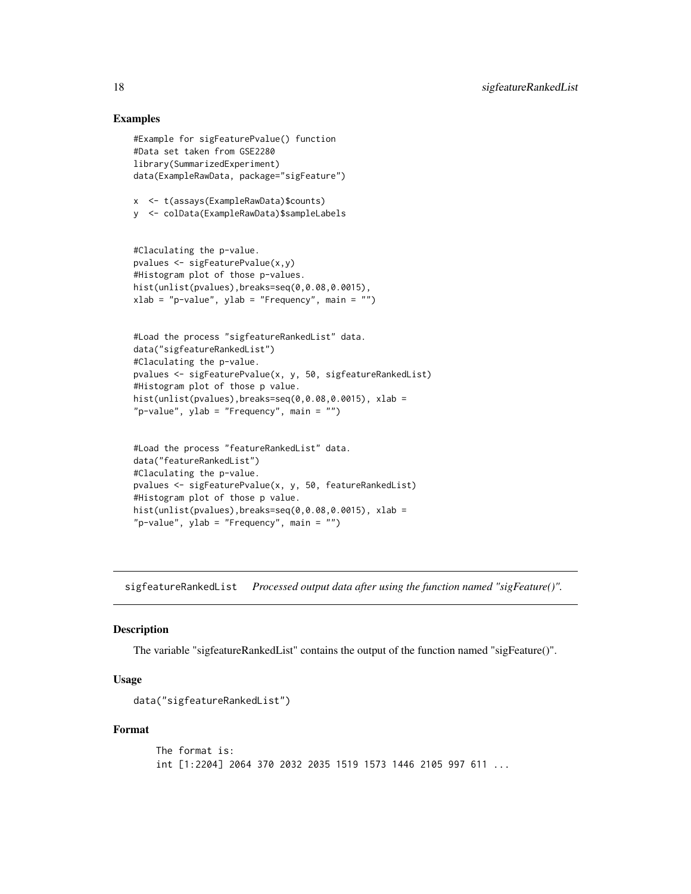#### Examples

```
#Example for sigFeaturePvalue() function
#Data set taken from GSE2280
library(SummarizedExperiment)
data(ExampleRawData, package="sigFeature")
```

```
x <- t(assays(ExampleRawData)$counts)
y <- colData(ExampleRawData)$sampleLabels
```

```
#Claculating the p-value.
pvalues <- sigFeaturePvalue(x,y)
#Histogram plot of those p-values.
hist(unlist(pvalues),breaks=seq(0,0.08,0.0015),
xlab = "p-value", ylab = "Frequency", main = "")
```

```
#Load the process "sigfeatureRankedList" data.
data("sigfeatureRankedList")
#Claculating the p-value.
pvalues <- sigFeaturePvalue(x, y, 50, sigfeatureRankedList)
#Histogram plot of those p value.
hist(unlist(pvalues),breaks=seq(0,0.08,0.0015), xlab =
"p-value", ylab = "Frequency", main = "")
```

```
#Load the process "featureRankedList" data.
data("featureRankedList")
#Claculating the p-value.
pvalues <- sigFeaturePvalue(x, y, 50, featureRankedList)
#Histogram plot of those p value.
hist(unlist(pvalues),breaks=seq(0, 0.08, 0.0015), xlab =
"p-value", ylab = "Frequency", main = "")
```
sigfeatureRankedList *Processed output data after using the function named "sigFeature()".*

#### Description

The variable "sigfeatureRankedList" contains the output of the function named "sigFeature()".

#### Usage

```
data("sigfeatureRankedList")
```

```
The format is:
int [1:2204] 2064 370 2032 2035 1519 1573 1446 2105 997 611 ...
```
<span id="page-17-0"></span>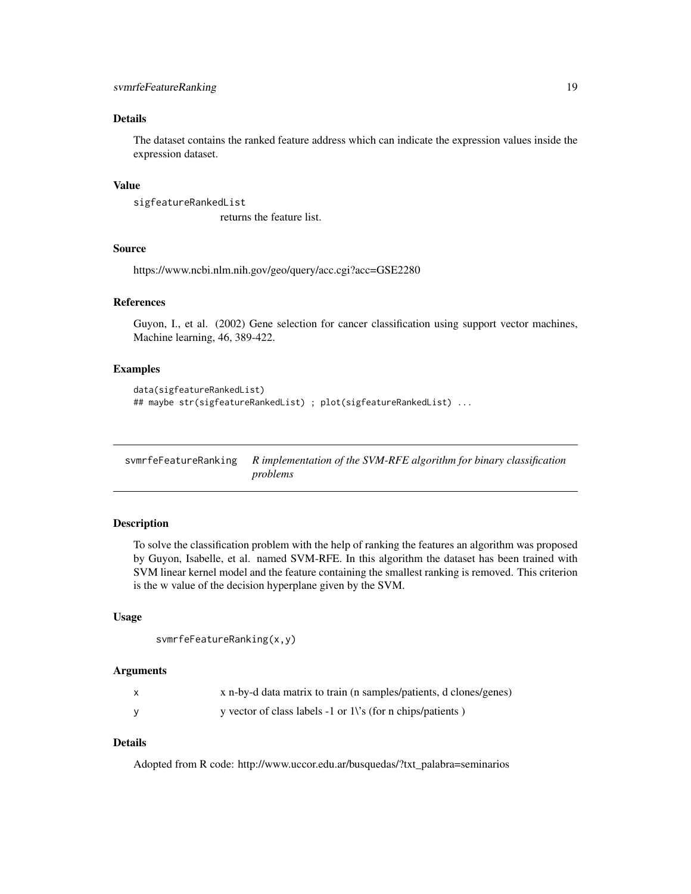#### <span id="page-18-0"></span>Details

The dataset contains the ranked feature address which can indicate the expression values inside the expression dataset.

#### Value

```
sigfeatureRankedList
                  returns the feature list.
```
#### Source

https://www.ncbi.nlm.nih.gov/geo/query/acc.cgi?acc=GSE2280

#### References

Guyon, I., et al. (2002) Gene selection for cancer classification using support vector machines, Machine learning, 46, 389-422.

#### Examples

```
data(sigfeatureRankedList)
## maybe str(sigfeatureRankedList) ; plot(sigfeatureRankedList) ...
```
svmrfeFeatureRanking *R implementation of the SVM-RFE algorithm for binary classification problems*

#### Description

To solve the classification problem with the help of ranking the features an algorithm was proposed by Guyon, Isabelle, et al. named SVM-RFE. In this algorithm the dataset has been trained with SVM linear kernel model and the feature containing the smallest ranking is removed. This criterion is the w value of the decision hyperplane given by the SVM.

#### Usage

```
svmrfeFeatureRanking(x,y)
```
#### Arguments

| x n-by-d data matrix to train (n samples/patients, d clones/genes) |
|--------------------------------------------------------------------|
| y vector of class labels $-1$ or 1\'s (for n chips/patients)       |

#### Details

Adopted from R code: http://www.uccor.edu.ar/busquedas/?txt\_palabra=seminarios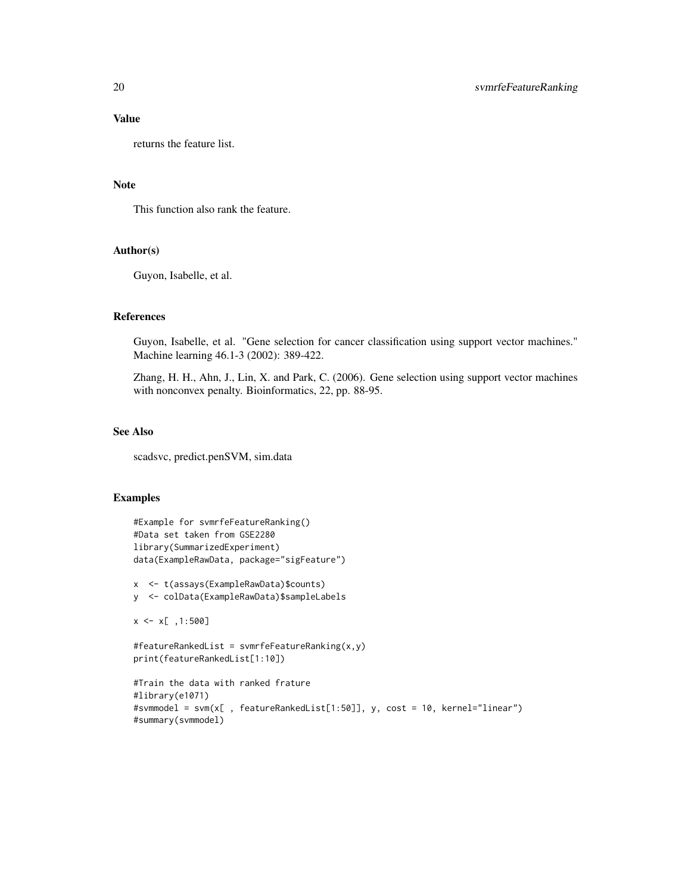#### Value

returns the feature list.

#### Note

This function also rank the feature.

#### Author(s)

Guyon, Isabelle, et al.

#### References

Guyon, Isabelle, et al. "Gene selection for cancer classification using support vector machines." Machine learning 46.1-3 (2002): 389-422.

Zhang, H. H., Ahn, J., Lin, X. and Park, C. (2006). Gene selection using support vector machines with nonconvex penalty. Bioinformatics, 22, pp. 88-95.

#### See Also

scadsvc, predict.penSVM, sim.data

#### Examples

```
#Example for svmrfeFeatureRanking()
#Data set taken from GSE2280
library(SummarizedExperiment)
data(ExampleRawData, package="sigFeature")
x <- t(assays(ExampleRawData)$counts)
y <- colData(ExampleRawData)$sampleLabels
x \le x[, 1:500]
#featureRankedList = svmrfeFeatureRanking(x,y)
print(featureRankedList[1:10])
#Train the data with ranked frature
#library(e1071)
#svmmodel = svm(x[ , featureRankedList[1:50]], y, cost = 10, kernel="linear")
#summary(svmmodel)
```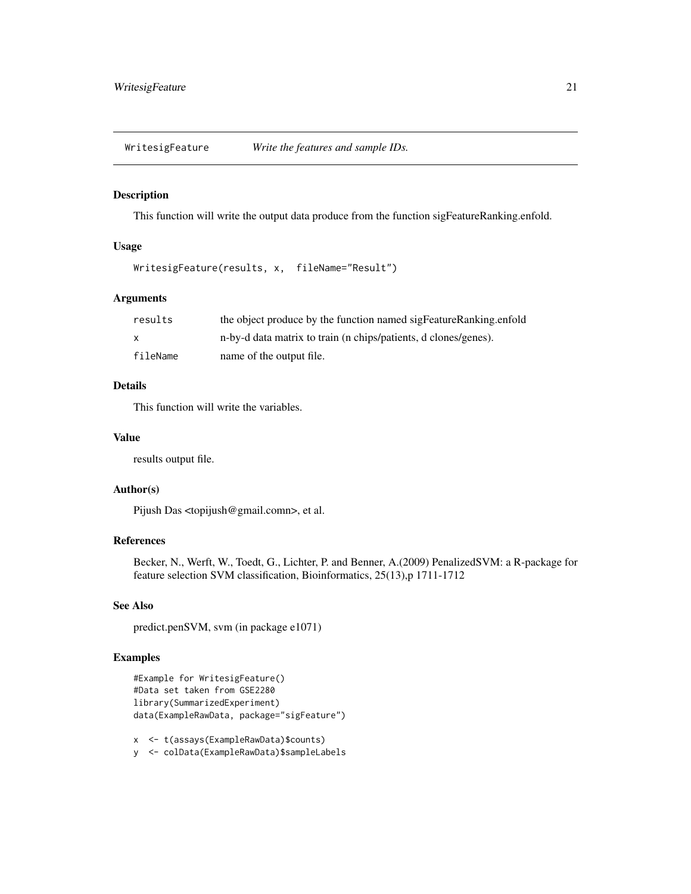<span id="page-20-0"></span>WritesigFeature *Write the features and sample IDs.*

#### Description

This function will write the output data produce from the function sigFeatureRanking.enfold.

#### Usage

```
WritesigFeature(results, x, fileName="Result")
```
#### Arguments

| results  | the object produce by the function named sigFeatureRanking.enfold |
|----------|-------------------------------------------------------------------|
| X        | n-by-d data matrix to train (n chips/patients, d clones/genes).   |
| fileName | name of the output file.                                          |

#### Details

This function will write the variables.

#### Value

results output file.

#### Author(s)

Pijush Das <topijush@gmail.comn>, et al.

#### References

Becker, N., Werft, W., Toedt, G., Lichter, P. and Benner, A.(2009) PenalizedSVM: a R-package for feature selection SVM classification, Bioinformatics, 25(13),p 1711-1712

#### See Also

predict.penSVM, svm (in package e1071)

#### Examples

```
#Example for WritesigFeature()
#Data set taken from GSE2280
library(SummarizedExperiment)
data(ExampleRawData, package="sigFeature")
```
x <- t(assays(ExampleRawData)\$counts)

y <- colData(ExampleRawData)\$sampleLabels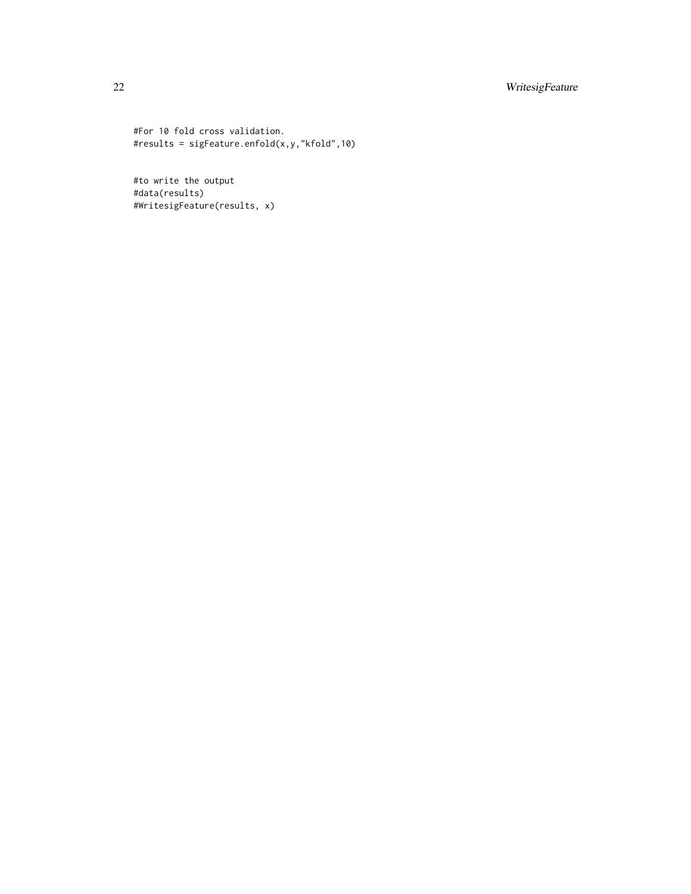#### 22 WritesigFeature

#For 10 fold cross validation. #results = sigFeature.enfold(x,y,"kfold",10)

#to write the output #data(results) #WritesigFeature(results, x)